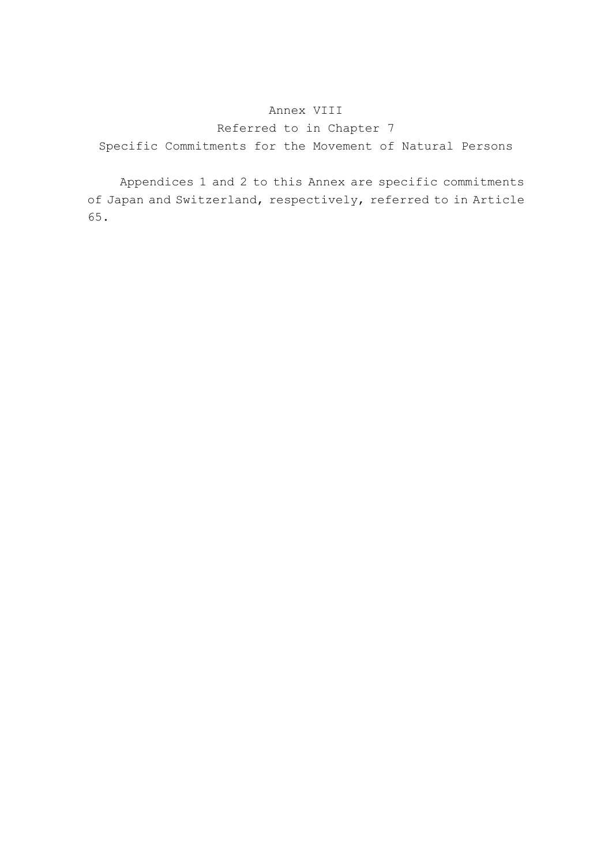### Annex VIII

Referred to in Chapter 7 Specific Commitments for the Movement of Natural Persons

 Appendices 1 and 2 to this Annex are specific commitments of Japan and Switzerland, respectively, referred to in Article 65.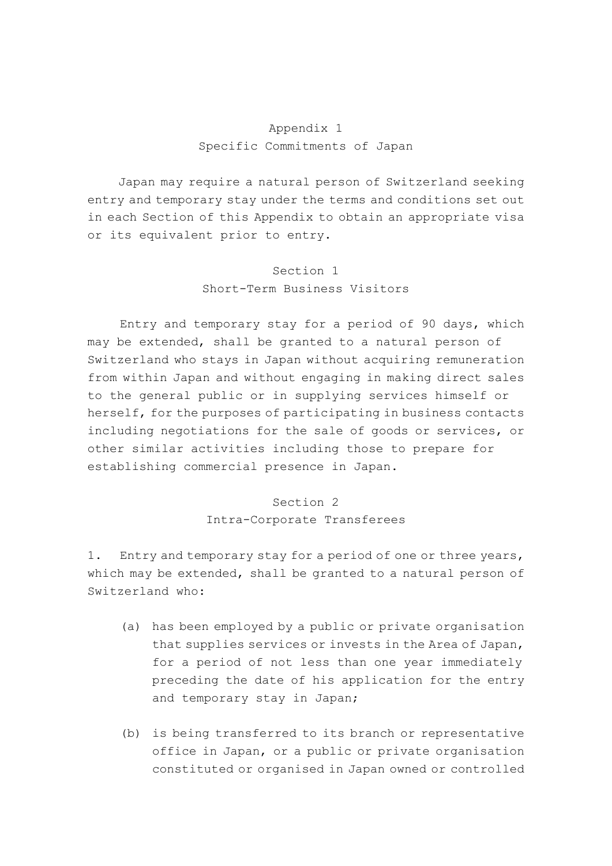### Appendix 1 Specific Commitments of Japan

Japan may require a natural person of Switzerland seeking entry and temporary stay under the terms and conditions set out in each Section of this Appendix to obtain an appropriate visa or its equivalent prior to entry.

# Section 1 Short-Term Business Visitors

 Entry and temporary stay for a period of 90 days, which may be extended, shall be granted to a natural person of Switzerland who stays in Japan without acquiring remuneration from within Japan and without engaging in making direct sales to the general public or in supplying services himself or herself, for the purposes of participating in business contacts including negotiations for the sale of goods or services, or other similar activities including those to prepare for establishing commercial presence in Japan.

## Section 2 Intra-Corporate Transferees

1. Entry and temporary stay for a period of one or three years, which may be extended, shall be granted to a natural person of Switzerland who:

- (a) has been employed by a public or private organisation that supplies services or invests in the Area of Japan, for a period of not less than one year immediately preceding the date of his application for the entry and temporary stay in Japan;
- (b) is being transferred to its branch or representative office in Japan, or a public or private organisation constituted or organised in Japan owned or controlled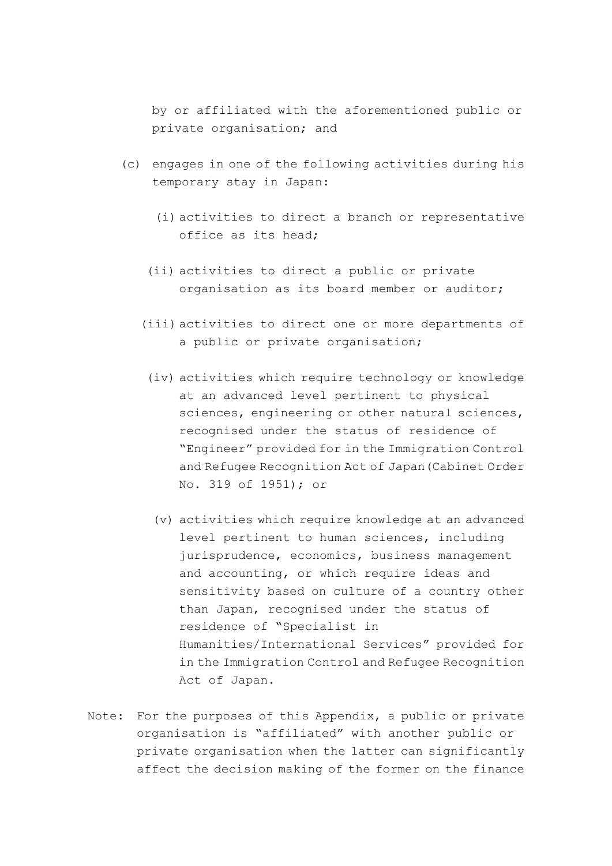by or affiliated with the aforementioned public or private organisation; and

- (c) engages in one of the following activities during his temporary stay in Japan:
	- (i) activities to direct a branch or representative office as its head;
	- (ii) activities to direct a public or private organisation as its board member or auditor;
	- (iii) activities to direct one or more departments of a public or private organisation;
	- (iv) activities which require technology or knowledge at an advanced level pertinent to physical sciences, engineering or other natural sciences, recognised under the status of residence of "Engineer" provided for in the Immigration Control and Refugee Recognition Act of Japan(Cabinet Order No. 319 of 1951); or
		- (v) activities which require knowledge at an advanced level pertinent to human sciences, including jurisprudence, economics, business management and accounting, or which require ideas and sensitivity based on culture of a country other than Japan, recognised under the status of residence of "Specialist in Humanities/International Services" provided for in the Immigration Control and Refugee Recognition Act of Japan.
- Note: For the purposes of this Appendix, a public or private organisation is "affiliated" with another public or private organisation when the latter can significantly affect the decision making of the former on the finance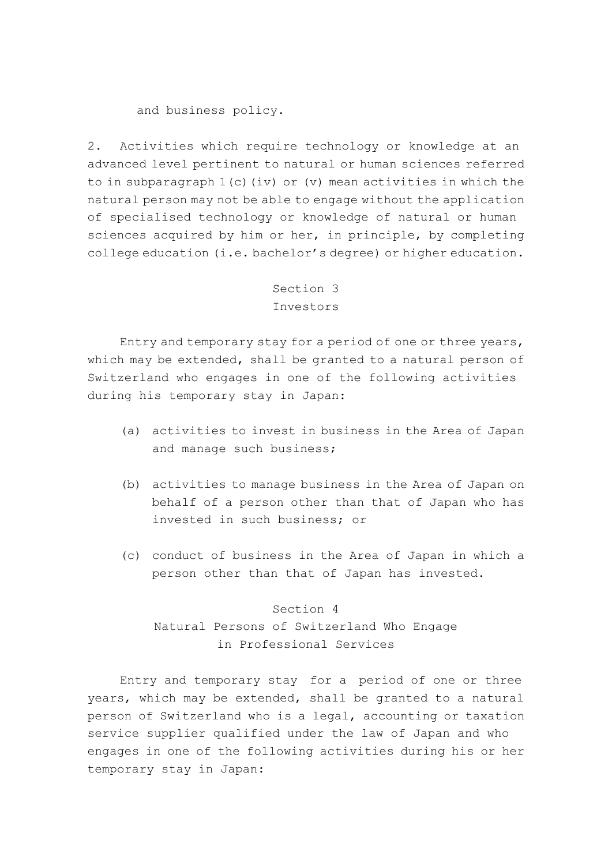and business policy.

2. Activities which require technology or knowledge at an advanced level pertinent to natural or human sciences referred to in subparagraph  $1(c)$  (iv) or (v) mean activities in which the natural person may not be able to engage without the application of specialised technology or knowledge of natural or human sciences acquired by him or her, in principle, by completing college education (i.e. bachelor's degree) or higher education.

## Section 3 Investors

 Entry and temporary stay for a period of one or three years, which may be extended, shall be granted to a natural person of Switzerland who engages in one of the following activities during his temporary stay in Japan:

- (a) activities to invest in business in the Area of Japan and manage such business;
- (b) activities to manage business in the Area of Japan on behalf of a person other than that of Japan who has invested in such business; or
- (c) conduct of business in the Area of Japan in which a person other than that of Japan has invested.

#### Section 4

# Natural Persons of Switzerland Who Engage in Professional Services

 Entry and temporary stay for a period of one or three years, which may be extended, shall be granted to a natural person of Switzerland who is a legal, accounting or taxation service supplier qualified under the law of Japan and who engages in one of the following activities during his or her temporary stay in Japan: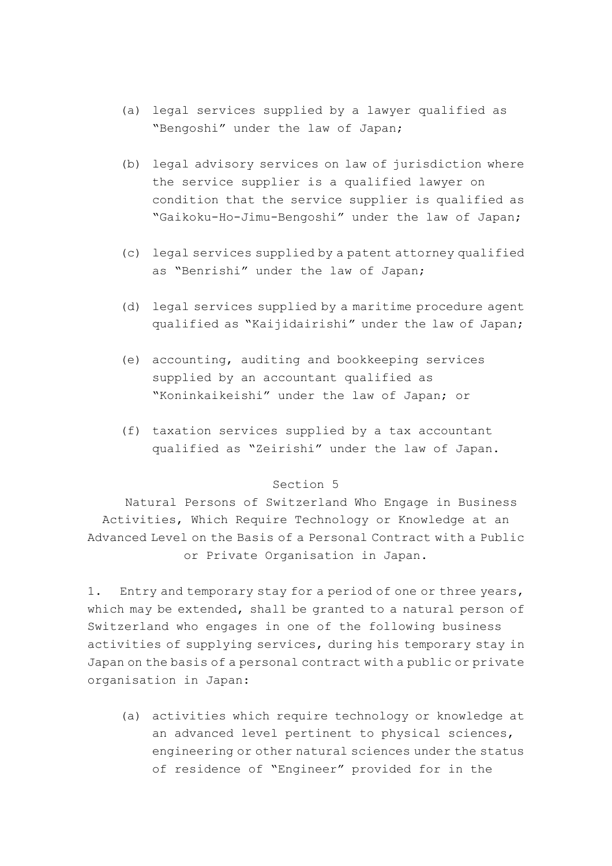- (a) legal services supplied by a lawyer qualified as "Bengoshi" under the law of Japan;
- (b) legal advisory services on law of jurisdiction where the service supplier is a qualified lawyer on condition that the service supplier is qualified as "Gaikoku-Ho-Jimu-Bengoshi" under the law of Japan;
- (c) legal services supplied by a patent attorney qualified as "Benrishi" under the law of Japan;
- (d) legal services supplied by a maritime procedure agent qualified as "Kaijidairishi" under the law of Japan;
- (e) accounting, auditing and bookkeeping services supplied by an accountant qualified as "Koninkaikeishi" under the law of Japan; or
- (f) taxation services supplied by a tax accountant qualified as "Zeirishi" under the law of Japan.

#### Section 5

Natural Persons of Switzerland Who Engage in Business Activities, Which Require Technology or Knowledge at an Advanced Level on the Basis of a Personal Contract with a Public or Private Organisation in Japan.

1. Entry and temporary stay for a period of one or three years, which may be extended, shall be granted to a natural person of Switzerland who engages in one of the following business activities of supplying services, during his temporary stay in Japan on the basis of a personal contract with a public or private organisation in Japan:

 (a) activities which require technology or knowledge at an advanced level pertinent to physical sciences, engineering or other natural sciences under the status of residence of "Engineer" provided for in the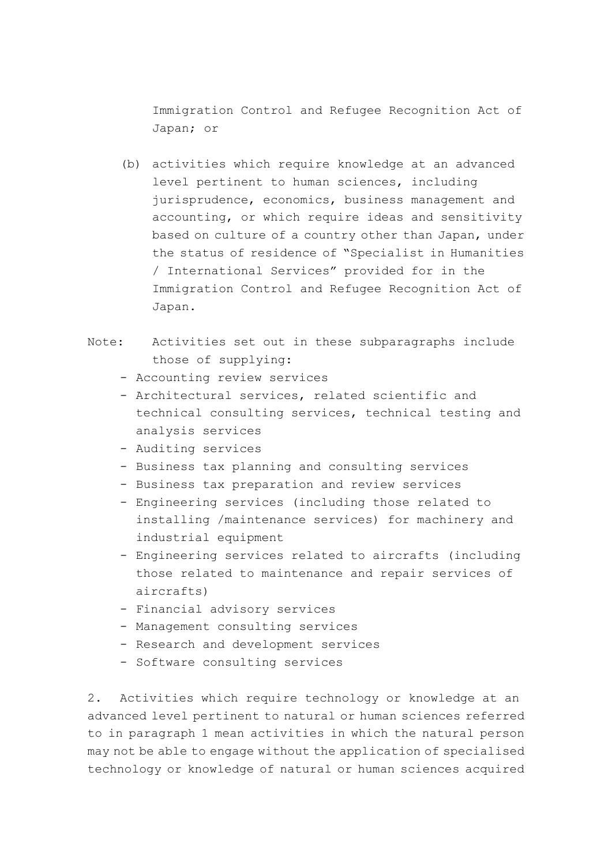Immigration Control and Refugee Recognition Act of Japan; or

- (b) activities which require knowledge at an advanced level pertinent to human sciences, including jurisprudence, economics, business management and accounting, or which require ideas and sensitivity based on culture of a country other than Japan, under the status of residence of "Specialist in Humanities / International Services" provided for in the Immigration Control and Refugee Recognition Act of Japan.
- Note: Activities set out in these subparagraphs include those of supplying:
	- Accounting review services
	- Architectural services, related scientific and technical consulting services, technical testing and analysis services
	- Auditing services
	- Business tax planning and consulting services
	- Business tax preparation and review services
	- Engineering services (including those related to installing /maintenance services) for machinery and industrial equipment
	- Engineering services related to aircrafts (including those related to maintenance and repair services of aircrafts)
	- Financial advisory services
	- Management consulting services
	- Research and development services
	- Software consulting services

2. Activities which require technology or knowledge at an advanced level pertinent to natural or human sciences referred to in paragraph 1 mean activities in which the natural person may not be able to engage without the application of specialised technology or knowledge of natural or human sciences acquired